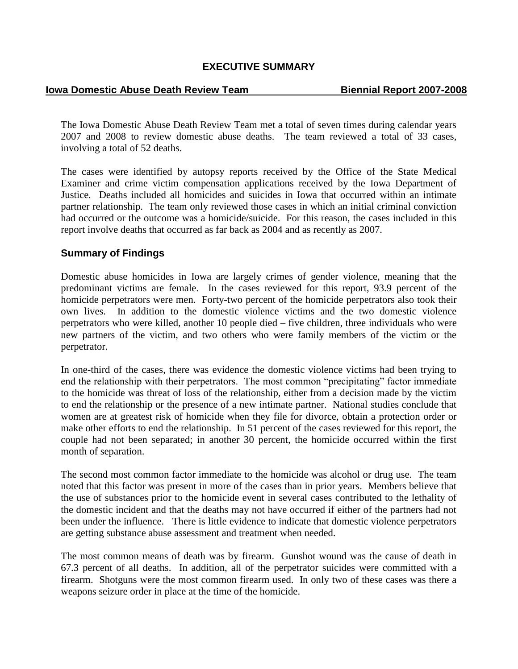## **EXECUTIVE SUMMARY**

### **Iowa Domestic Abuse Death Review Team Biennial Report 2007-2008**

The Iowa Domestic Abuse Death Review Team met a total of seven times during calendar years 2007 and 2008 to review domestic abuse deaths. The team reviewed a total of 33 cases, involving a total of 52 deaths.

The cases were identified by autopsy reports received by the Office of the State Medical Examiner and crime victim compensation applications received by the Iowa Department of Justice. Deaths included all homicides and suicides in Iowa that occurred within an intimate partner relationship. The team only reviewed those cases in which an initial criminal conviction had occurred or the outcome was a homicide/suicide. For this reason, the cases included in this report involve deaths that occurred as far back as 2004 and as recently as 2007.

## **Summary of Findings**

Domestic abuse homicides in Iowa are largely crimes of gender violence, meaning that the predominant victims are female. In the cases reviewed for this report, 93.9 percent of the homicide perpetrators were men. Forty-two percent of the homicide perpetrators also took their own lives. In addition to the domestic violence victims and the two domestic violence perpetrators who were killed, another 10 people died – five children, three individuals who were new partners of the victim, and two others who were family members of the victim or the perpetrator.

In one-third of the cases, there was evidence the domestic violence victims had been trying to end the relationship with their perpetrators. The most common "precipitating" factor immediate to the homicide was threat of loss of the relationship, either from a decision made by the victim to end the relationship or the presence of a new intimate partner. National studies conclude that women are at greatest risk of homicide when they file for divorce, obtain a protection order or make other efforts to end the relationship. In 51 percent of the cases reviewed for this report, the couple had not been separated; in another 30 percent, the homicide occurred within the first month of separation.

The second most common factor immediate to the homicide was alcohol or drug use. The team noted that this factor was present in more of the cases than in prior years. Members believe that the use of substances prior to the homicide event in several cases contributed to the lethality of the domestic incident and that the deaths may not have occurred if either of the partners had not been under the influence. There is little evidence to indicate that domestic violence perpetrators are getting substance abuse assessment and treatment when needed.

The most common means of death was by firearm. Gunshot wound was the cause of death in 67.3 percent of all deaths. In addition, all of the perpetrator suicides were committed with a firearm. Shotguns were the most common firearm used. In only two of these cases was there a weapons seizure order in place at the time of the homicide.